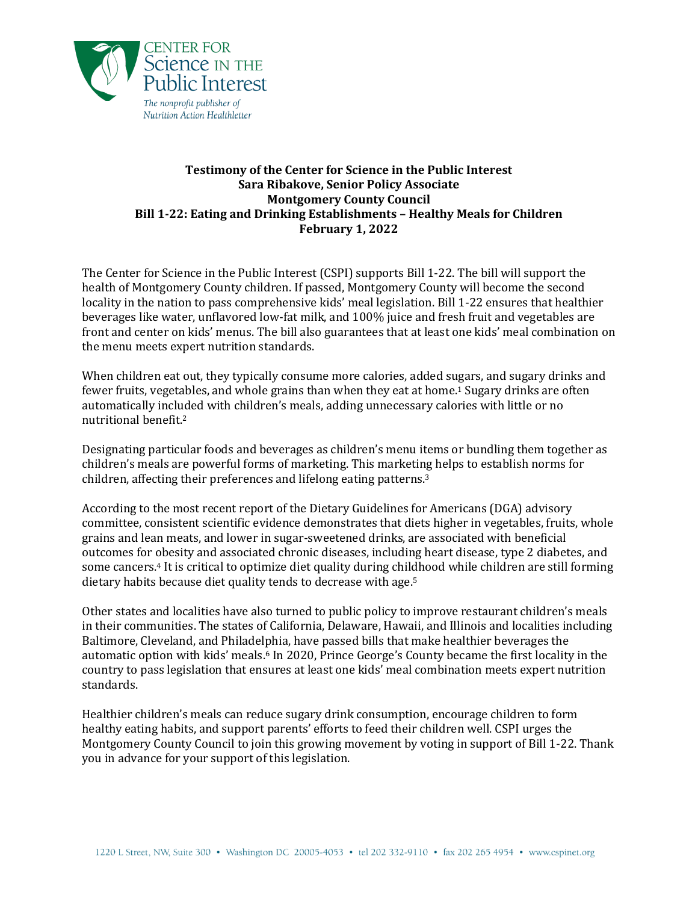

## **Testimony of the Center for Science in the Public Interest Sara Ribakove, Senior Policy Associate Montgomery County Council Bill 1-22: Eating and Drinking Establishments – Healthy Meals for Children February 1, 2022**

The Center for Science in the Public Interest (CSPI) supports Bill 1-22. The bill will support the health of Montgomery County children. If passed, Montgomery County will become the second locality in the nation to pass comprehensive kids' meal legislation. Bill 1-22 ensures that healthier beverages like water, unflavored low-fat milk, and 100% juice and fresh fruit and vegetables are front and center on kids' menus. The bill also guarantees that at least one kids' meal combination on the menu meets expert nutrition standards.

When children eat out, they typically consume more calories, added sugars, and sugary drinks and fewer fruits, vegetables, and whole grains than when they eat at home.<sup>1</sup> Sugary drinks are often automatically included with children's meals, adding unnecessary calories with little or no nutritional benefit.<sup>2</sup>

Designating particular foods and beverages as children's menu items or bundling them together as children's meals are powerful forms of marketing. This marketing helps to establish norms for children, affecting their preferences and lifelong eating patterns.<sup>3</sup>

According to the most recent report of the Dietary Guidelines for Americans (DGA) advisory committee, consistent scientific evidence demonstrates that diets higher in vegetables, fruits, whole grains and lean meats, and lower in sugar-sweetened drinks, are associated with beneficial outcomes for obesity and associated chronic diseases, including heart disease, type 2 diabetes, and some cancers.<sup>4</sup> It is critical to optimize diet quality during childhood while children are still forming dietary habits because diet quality tends to decrease with age.<sup>5</sup>

Other states and localities have also turned to public policy to improve restaurant children's meals in their communities. The states of California, Delaware, Hawaii, and Illinois and localities including Baltimore, Cleveland, and Philadelphia, have passed bills that make healthier beverages the automatic option with kids' meals. <sup>6</sup> In 2020, Prince George's County became the first locality in the country to pass legislation that ensures at least one kids' meal combination meets expert nutrition standards.

Healthier children's meals can reduce sugary drink consumption, encourage children to form healthy eating habits, and support parents' efforts to feed their children well. CSPI urges the Montgomery County Council to join this growing movement by voting in support of Bill 1-22. Thank you in advance for your support of this legislation.